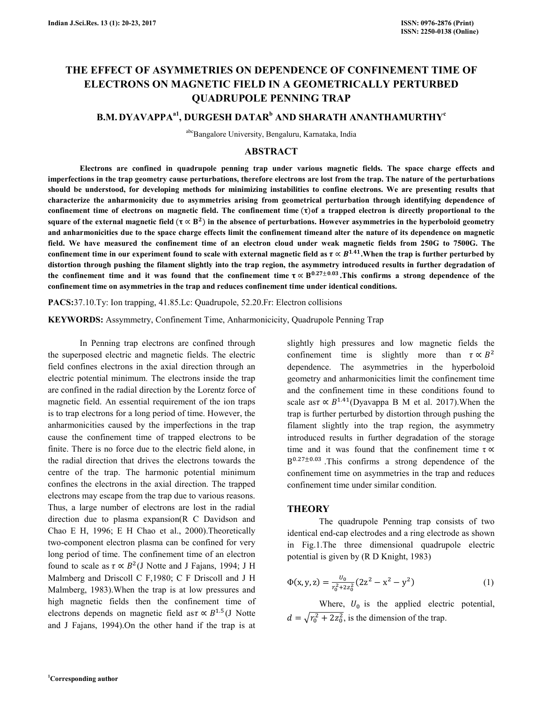# **THE EFFECT OF ASYMMETRIES ON DEPENDENCE OF CONFINEMENT TIME OF ELECTRONS ON MAGNETIC FIELD IN A GEOMETRICALLY PERTURBED QUADRUPOLE PENNING TRAP**

# **B.M. DYAVAPPAa1, DURGESH DATAR<sup>b</sup> AND SHARATH ANANTHAMURTHY<sup>c</sup>**

abcBangalore University, Bengaluru, Karnataka, India

## **ABSTRACT**

 **Electrons are confined in quadrupole penning trap under various magnetic fields. The space charge effects and imperfections in the trap geometry cause perturbations, therefore electrons are lost from the trap. The nature of the perturbations should be understood, for developing methods for minimizing instabilities to confine electrons. We are presenting results that characterize the anharmonicity due to asymmetries arising from geometrical perturbation through identifying dependence of**  confinement time of electrons on magnetic field. The confinement time ( $\tau$ ) of a trapped electron is directly proportional to the square of the external magnetic field ( $\tau \propto B^2$ ) in the absence of perturbations. However asymmetries in the hyperboloid geometry **and anharmonicities due to the space charge effects limit the confinement timeand alter the nature of its dependence on magnetic field. We have measured the confinement time of an electron cloud under weak magnetic fields from 250G to 7500G. The**  confinement time in our experiment found to scale with external magnetic field as  $\tau \propto B^{1.41}$ . When the trap is further perturbed by **distortion through pushing the filament slightly into the trap region, the asymmetry introduced results in further degradation of**  the confinement time and it was found that the confinement time  $\tau \propto B^{0.27 \pm 0.03}$ . This confirms a strong dependence of the **confinement time on asymmetries in the trap and reduces confinement time under identical conditions.** 

**PACS:**37.10.Ty: Ion trapping, 41.85.Lc: Quadrupole, 52.20.Fr: Electron collisions

**KEYWORDS:** Assymmetry, Confinement Time, Anharmonicicity, Quadrupole Penning Trap

 In Penning trap electrons are confined through the superposed electric and magnetic fields. The electric field confines electrons in the axial direction through an electric potential minimum. The electrons inside the trap are confined in the radial direction by the Lorentz force of magnetic field. An essential requirement of the ion traps is to trap electrons for a long period of time. However, the anharmonicities caused by the imperfections in the trap cause the confinement time of trapped electrons to be finite. There is no force due to the electric field alone, in the radial direction that drives the electrons towards the centre of the trap. The harmonic potential minimum confines the electrons in the axial direction. The trapped electrons may escape from the trap due to various reasons. Thus, a large number of electrons are lost in the radial direction due to plasma expansion(R C Davidson and Chao E H, 1996; E H Chao et al., 2000).Theoretically two-component electron plasma can be confined for very long period of time. The confinement time of an electron found to scale as  $\tau \propto B^2$ (J Notte and J Fajans, 1994; J H Malmberg and Driscoll C F,1980; C F Driscoll and J H Malmberg, 1983).When the trap is at low pressures and high magnetic fields then the confinement time of electrons depends on magnetic field as  $\tau \propto B^{1.5}$  (J Notte and J Fajans, 1994).On the other hand if the trap is at

slightly high pressures and low magnetic fields the confinement time is slightly more than  $\tau \propto B^2$ dependence. The asymmetries in the hyperboloid geometry and anharmonicities limit the confinement time and the confinement time in these conditions found to scale as  $\tau \propto B^{1.41}$ (Dyavappa B M et al. 2017). When the trap is further perturbed by distortion through pushing the filament slightly into the trap region, the asymmetry introduced results in further degradation of the storage time and it was found that the confinement time  $\tau \propto$  $B^{0.27\pm0.03}$  This confirms a strong dependence of the confinement time on asymmetries in the trap and reduces confinement time under similar condition.

#### **THEORY**

The quadrupole Penning trap consists of two identical end-cap electrodes and a ring electrode as shown in Fig.1.The three dimensional quadrupole electric potential is given by (R D Knight, 1983)

$$
\Phi(x, y, z) = \frac{v_0}{r_0^2 + 2z_0^2} (2z^2 - x^2 - y^2)
$$
 (1)

Where,  $U_0$  is the applied electric potential,  $d = \sqrt{r_0^2 + 2z_0^2}$ , is the dimension of the trap.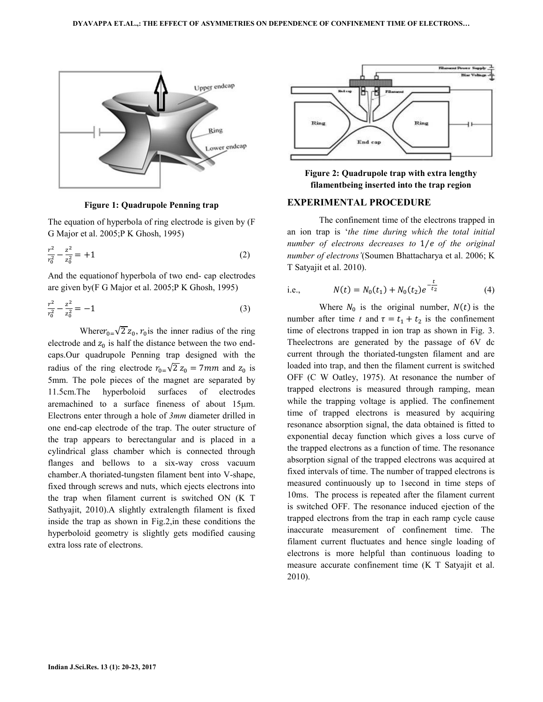

**Figure 1: Quadrupole Penning trap** 

The equation of hyperbola of ring electrode is given by (F G Major et al. 2005;P K Ghosh, 1995)

$$
\frac{r^2}{r_0^2} - \frac{z^2}{z_0^2} = +1\tag{2}
$$

And the equationof hyperbola of two end- cap electrodes are given by(F G Major et al. 2005;P K Ghosh, 1995)

$$
\frac{r^2}{r_0^2} - \frac{z^2}{z_0^2} = -1\tag{3}
$$

Where  $r_{0} = \sqrt{2} z_0$ ,  $r_0$  is the inner radius of the ring electrode and  $z_0$  is half the distance between the two endcaps.Our quadrupole Penning trap designed with the radius of the ring electrode  $r_{0} = \sqrt{2} z_0 = 7$ mm and  $z_0$  is 5mm. The pole pieces of the magnet are separated by 11.5cm.The hyperboloid surfaces of electrodes aremachined to a surface fineness of about 15µm. Electrons enter through a hole of *3mm* diameter drilled in one end-cap electrode of the trap. The outer structure of the trap appears to berectangular and is placed in a cylindrical glass chamber which is connected through flanges and bellows to a six-way cross vacuum chamber.A thoriated-tungsten filament bent into V-shape, fixed through screws and nuts, which ejects electrons into the trap when filament current is switched ON (K T Sathyajit, 2010).A slightly extralength filament is fixed inside the trap as shown in Fig.2,in these conditions the hyperboloid geometry is slightly gets modified causing extra loss rate of electrons.



**Figure 2: Quadrupole trap with extra lengthy filamentbeing inserted into the trap region** 

#### **EXPERIMENTAL PROCEDURE**

 The confinement time of the electrons trapped in an ion trap is '*the time during which the total initial number of electrons decreases to 1/e of the original number of electrons'*(Soumen Bhattacharya et al. 2006; K T Satyajit et al. 2010).

i.e., 
$$
N(t) = N_0(t_1) + N_0(t_2)e^{-\frac{t}{t_2}}
$$
 (4)

Where  $N_0$  is the original number,  $N(t)$  is the number after time *t* and  $\tau = t_1 + t_2$  is the confinement time of electrons trapped in ion trap as shown in Fig. 3. Theelectrons are generated by the passage of 6V dc current through the thoriated-tungsten filament and are loaded into trap, and then the filament current is switched OFF (C W Oatley, 1975). At resonance the number of trapped electrons is measured through ramping, mean while the trapping voltage is applied. The confinement time of trapped electrons is measured by acquiring resonance absorption signal, the data obtained is fitted to exponential decay function which gives a loss curve of the trapped electrons as a function of time. The resonance absorption signal of the trapped electrons was acquired at fixed intervals of time. The number of trapped electrons is measured continuously up to 1second in time steps of 10ms. The process is repeated after the filament current is switched OFF. The resonance induced ejection of the trapped electrons from the trap in each ramp cycle cause inaccurate measurement of confinement time. The filament current fluctuates and hence single loading of electrons is more helpful than continuous loading to measure accurate confinement time (K T Satyajit et al. 2010).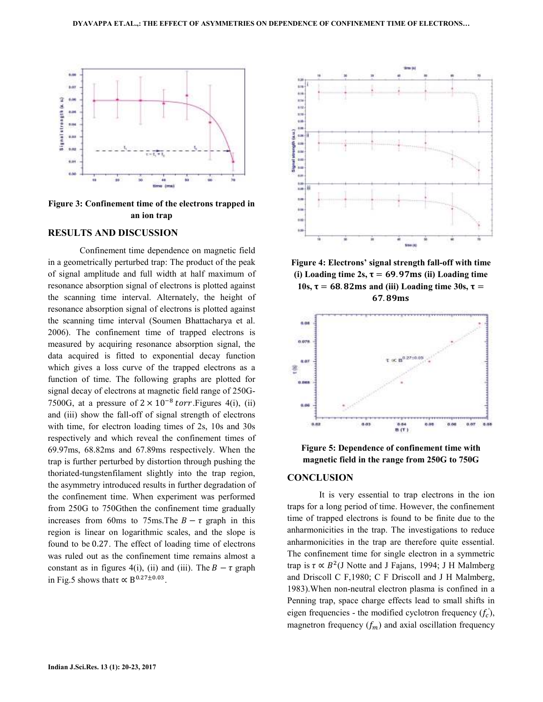

**Figure 3: Confinement time of the electrons trapped in an ion trap** 

#### **RESULTS AND DISCUSSION**

 Confinement time dependence on magnetic field in a geometrically perturbed trap: The product of the peak of signal amplitude and full width at half maximum of resonance absorption signal of electrons is plotted against the scanning time interval. Alternately, the height of resonance absorption signal of electrons is plotted against the scanning time interval (Soumen Bhattacharya et al. 2006). The confinement time of trapped electrons is measured by acquiring resonance absorption signal, the data acquired is fitted to exponential decay function which gives a loss curve of the trapped electrons as a function of time. The following graphs are plotted for signal decay of electrons at magnetic field range of 250G-7500G, at a pressure of  $2 \times 10^{-8}$  torr. Figures 4(i), (ii) and (iii) show the fall-off of signal strength of electrons with time, for electron loading times of 2s, 10s and 30s respectively and which reveal the confinement times of 69.97ms, 68.82ms and 67.89ms respectively. When the trap is further perturbed by distortion through pushing the thoriated-tungstenfilament slightly into the trap region, the asymmetry introduced results in further degradation of the confinement time. When experiment was performed from 250G to 750Gthen the confinement time gradually increases from 60ms to 75ms. The  $B - \tau$  graph in this region is linear on logarithmic scales, and the slope is found to be 0.27. The effect of loading time of electrons was ruled out as the confinement time remains almost a constant as in figures 4(i), (ii) and (iii). The  $B - \tau$  graph in Fig.5 shows that  $\propto B^{0.27 \pm 0.03}$ .



**Figure 4: Electrons' signal strength fall-off with time**  (i) Loading time  $2s$ ,  $\tau = 69.97$ ms (ii) Loading time **10s,**  $\tau$  = 68.82ms and (iii) Loading time 30s,  $\tau$  = 67.89ms



**Figure 5: Dependence of confinement time with magnetic field in the range from 250G to 750G** 

#### **CONCLUSION**

 It is very essential to trap electrons in the ion traps for a long period of time. However, the confinement time of trapped electrons is found to be finite due to the anharmonicities in the trap. The investigations to reduce anharmonicities in the trap are therefore quite essential. The confinement time for single electron in a symmetric trap is  $\tau \propto B^2$ (J Notte and J Fajans, 1994; J H Malmberg and Driscoll C F,1980; C F Driscoll and J H Malmberg, 1983).When non-neutral electron plasma is confined in a Penning trap, space charge effects lead to small shifts in eigen frequencies - the modified cyclotron frequency  $(f_c)$ , magnetron frequency  $(f_m)$  and axial oscillation frequency